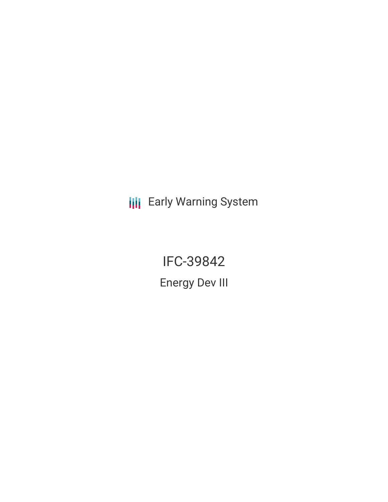**III** Early Warning System

IFC-39842 Energy Dev III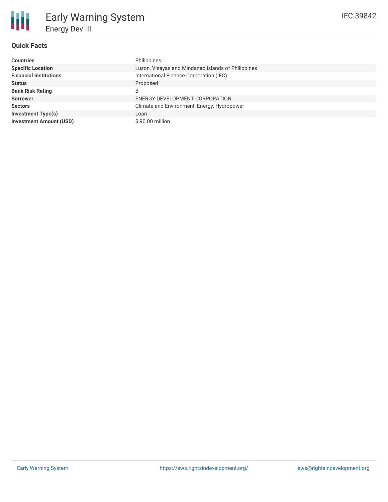## **Quick Facts**

朋

| <b>Countries</b>               | Philippines                                        |
|--------------------------------|----------------------------------------------------|
| <b>Specific Location</b>       | Luzon, Visayas and Mindanao islands of Philippines |
| <b>Financial Institutions</b>  | International Finance Corporation (IFC)            |
| <b>Status</b>                  | Proposed                                           |
| <b>Bank Risk Rating</b>        | B                                                  |
| <b>Borrower</b>                | ENERGY DEVELOPMENT CORPORATION                     |
| <b>Sectors</b>                 | Climate and Environment, Energy, Hydropower        |
| <b>Investment Type(s)</b>      | Loan                                               |
| <b>Investment Amount (USD)</b> | \$90.00 million                                    |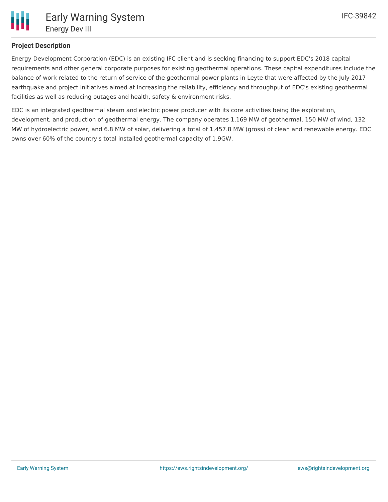

## **Project Description**

Energy Development Corporation (EDC) is an existing IFC client and is seeking financing to support EDC's 2018 capital requirements and other general corporate purposes for existing geothermal operations. These capital expenditures include the balance of work related to the return of service of the geothermal power plants in Leyte that were affected by the July 2017 earthquake and project initiatives aimed at increasing the reliability, efficiency and throughput of EDC's existing geothermal facilities as well as reducing outages and health, safety & environment risks.

EDC is an integrated geothermal steam and electric power producer with its core activities being the exploration, development, and production of geothermal energy. The company operates 1,169 MW of geothermal, 150 MW of wind, 132 MW of hydroelectric power, and 6.8 MW of solar, delivering a total of 1,457.8 MW (gross) of clean and renewable energy. EDC owns over 60% of the country's total installed geothermal capacity of 1.9GW.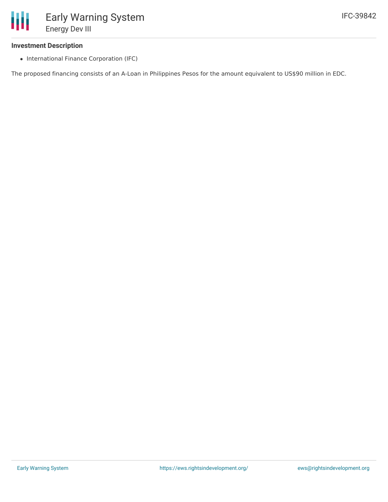#### **Investment Description**

• International Finance Corporation (IFC)

The proposed financing consists of an A-Loan in Philippines Pesos for the amount equivalent to US\$90 million in EDC.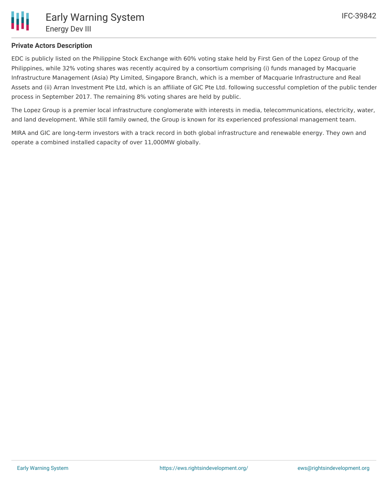

## **Private Actors Description**

EDC is publicly listed on the Philippine Stock Exchange with 60% voting stake held by First Gen of the Lopez Group of the Philippines, while 32% voting shares was recently acquired by a consortium comprising (i) funds managed by Macquarie Infrastructure Management (Asia) Pty Limited, Singapore Branch, which is a member of Macquarie Infrastructure and Real Assets and (ii) Arran Investment Pte Ltd, which is an affiliate of GIC Pte Ltd. following successful completion of the public tender process in September 2017. The remaining 8% voting shares are held by public.

The Lopez Group is a premier local infrastructure conglomerate with interests in media, telecommunications, electricity, water, and land development. While still family owned, the Group is known for its experienced professional management team.

MIRA and GIC are long-term investors with a track record in both global infrastructure and renewable energy. They own and operate a combined installed capacity of over 11,000MW globally.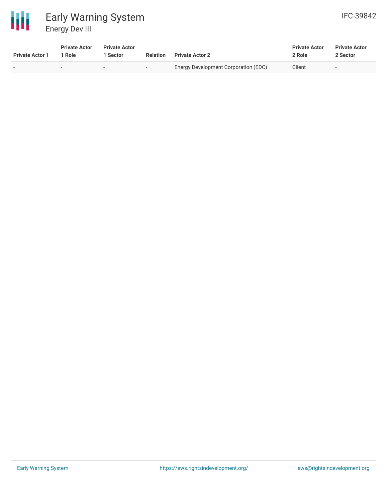

# Early Warning System Energy Dev III

| <b>Private Actor 1</b> | <b>Private Actor</b><br>1 Role | <b>Private Actor</b><br>i Sector | <b>Relation</b>          | <b>Private Actor 2</b>               | <b>Private Actor</b><br>2 Role | <b>Private Actor</b><br>2 Sector |
|------------------------|--------------------------------|----------------------------------|--------------------------|--------------------------------------|--------------------------------|----------------------------------|
|                        |                                | $\sim$                           | $\overline{\phantom{a}}$ | Energy Development Corporation (EDC) | Client                         | ۰                                |